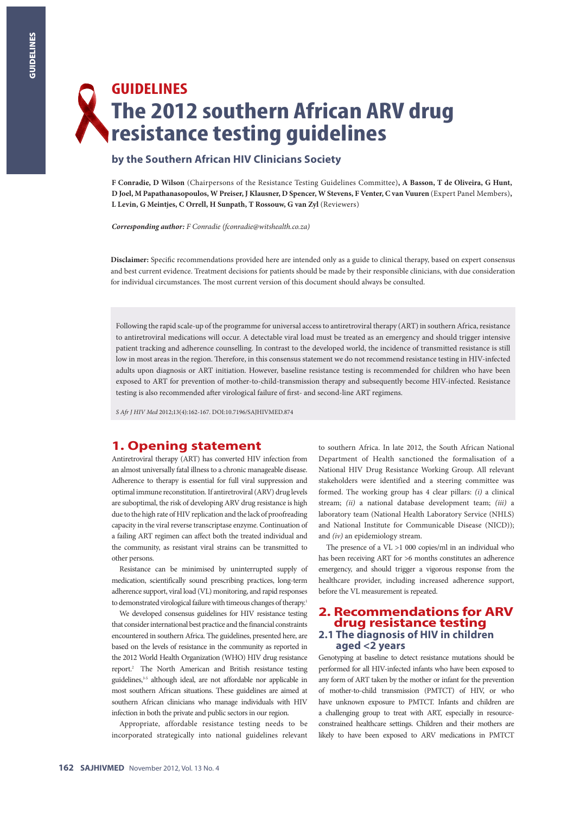# **GUIDELINES The 2012 southern African ARV drug resistance testing guidelines**

# **by the Southern African HIV Clinicians Society**

**F Conradie, D Wilson** (Chairpersons of the Resistance Testing Guidelines Committee)**, A Basson, T de Oliveira, G Hunt, D Joel, M Papathanasopoulos, W Preiser, J Klausner, D Spencer, W Stevens, F Venter, C van Vuuren** (Expert Panel Members)**, L Levin, G Meintjes, C Orrell, H Sunpath, T Rossouw, G van Zyl** (Reviewers)

*Corresponding author: F Conradie (fconradie@witshealth.co.za)*

**Disclaimer:** Specific recommendations provided here are intended only as a guide to clinical therapy, based on expert consensus and best current evidence. Treatment decisions for patients should be made by their responsible clinicians, with due consideration for individual circumstances. The most current version of this document should always be consulted.

Following the rapid scale-up of the programme for universal access to antiretroviral therapy (ART) in southern Africa, resistance to antiretroviral medications will occur. A detectable viral load must be treated as an emergency and should trigger intensive patient tracking and adherence counselling. In contrast to the developed world, the incidence of transmitted resistance is still low in most areas in the region. Therefore, in this consensus statement we do not recommend resistance testing in HIV-infected adults upon diagnosis or ART initiation. However, baseline resistance testing is recommended for children who have been exposed to ART for prevention of mother-to-child-transmission therapy and subsequently become HIV-infected. Resistance testing is also recommended after virological failure of first- and second-line ART regimens.

*S Afr J HIV Med* 2012;13(4):162-167. DOI:10.7196/SAJHIVMED.874

# **1. Opening statement**

Antiretroviral therapy (ART) has converted HIV infection from an almost universally fatal illness to a chronic manageable disease. Adherence to therapy is essential for full viral suppression and optimal immune reconstitution. If antiretroviral (ARV) drug levels are suboptimal, the risk of developing ARV drug resistance is high due to the high rate of HIV replication and the lack of proofreading capacity in the viral reverse transcriptase enzyme. Continuation of a failing ART regimen can affect both the treated individual and the community, as resistant viral strains can be transmitted to other persons.

Resistance can be minimised by uninterrupted supply of medication, scientifically sound prescribing practices, long-term adherence support, viral load (VL) monitoring, and rapid responses to demonstrated virological failure with timeous changes of therapy.<sup>1</sup>

We developed consensus guidelines for HIV resistance testing that consider international best practice and the financial constraints encountered in southern Africa. The guidelines, presented here, are based on the levels of resistance in the community as reported in the 2012 World Health Organization (WHO) HIV drug resistance report.2 The North American and British resistance testing guidelines,<sup>3-5</sup> although ideal, are not affordable nor applicable in most southern African situations. These guidelines are aimed at southern African clinicians who manage individuals with HIV infection in both the private and public sectors in our region.

Appropriate, affordable resistance testing needs to be incorporated strategically into national guidelines relevant

to southern Africa. In late 2012, the South African National Department of Health sanctioned the formalisation of a National HIV Drug Resistance Working Group. All relevant stakeholders were identified and a steering committee was formed. The working group has 4 clear pillars: *(i)* a clinical stream; *(ii)* a national database development team; *(iii)* a laboratory team (National Health Laboratory Service (NHLS) and National Institute for Communicable Disease (NICD)); and *(iv)* an epidemiology stream.

The presence of a VL >1 000 copies/ml in an individual who has been receiving ART for >6 months constitutes an adherence emergency, and should trigger a vigorous response from the healthcare provider, including increased adherence support, before the VL measurement is repeated.

# **2. Recommendations for ARV drug resistance testing 2.1 The diagnosis of HIV in children aged <2 years**

Genotyping at baseline to detect resistance mutations should be performed for all HIV-infected infants who have been exposed to any form of ART taken by the mother or infant for the prevention of mother-to-child transmission (PMTCT) of HIV, or who have unknown exposure to PMTCT. Infants and children are a challenging group to treat with ART, especially in resourceconstrained healthcare settings. Children and their mothers are likely to have been exposed to ARV medications in PMTCT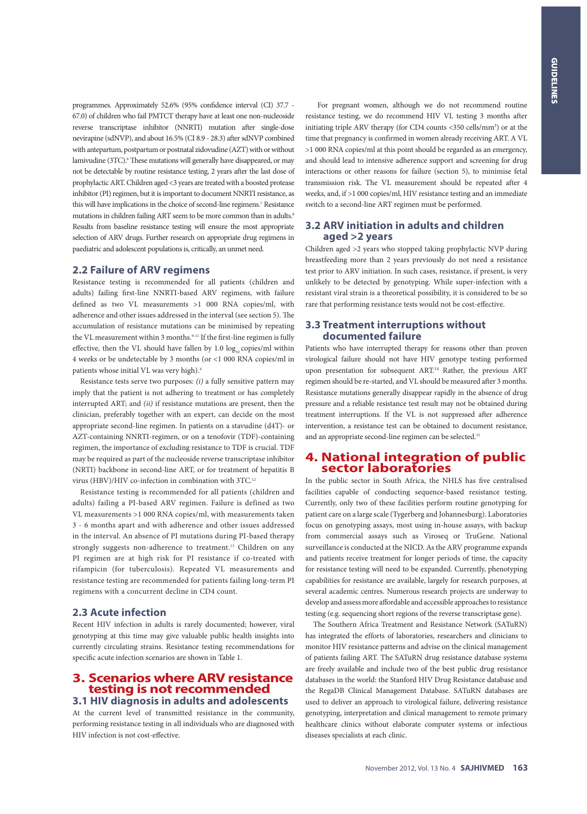programmes. Approximately 52.6% (95% confidence interval (CI) 37.7 - 67.0) of children who fail PMTCT therapy have at least one non-nucleoside reverse transcriptase inhibitor (NNRTI) mutation after single-dose nevirapine (sdNVP), and about 16.5% (CI 8.9 - 28.3) after sdNVP combined with antepartum, postpartum or postnatal zidovudine (AZT) with or without lamivudine (3TC).<sup>6</sup> These mutations will generally have disappeared, or may not be detectable by routine resistance testing, 2 years after the last dose of prophylactic ART. Children aged <3 years are treated with a boosted protease inhibitor (PI) regimen, but it is important to document NNRTI resistance, as this will have implications in the choice of second-line regimens.7 Resistance mutations in children failing ART seem to be more common than in adults.<sup>8</sup> Results from baseline resistance testing will ensure the most appropriate selection of ARV drugs. Further research on appropriate drug regimens in paediatric and adolescent populations is, critically, an unmet need.

#### **2.2 Failure of ARV regimens**

Resistance testing is recommended for all patients (children and adults) failing first-line NNRTI-based ARV regimens, with failure defined as two VL measurements >1 000 RNA copies/ml, with adherence and other issues addressed in the interval (see section 5). The accumulation of resistance mutations can be minimised by repeating the VL measurement within 3 months.<sup>9-11</sup> If the first-line regimen is fully effective, then the VL should have fallen by  $1.0 \log_{10}$  copies/ml within 4 weeks or be undetectable by 3 months (or <1 000 RNA copies/ml in patients whose initial VL was very high).4

Resistance tests serve two purposes: *(i)* a fully sensitive pattern may imply that the patient is not adhering to treatment or has completely interrupted ART; and *(ii)* if resistance mutations are present, then the clinician, preferably together with an expert, can decide on the most appropriate second-line regimen. In patients on a stavudine (d4T)- or AZT-containing NNRTI-regimen, or on a tenofovir (TDF)-containing regimen, the importance of excluding resistance to TDF is crucial. TDF may be required as part of the nucleoside reverse transcriptase inhibitor (NRTI) backbone in second-line ART, or for treatment of hepatitis B virus (HBV)/HIV co-infection in combination with 3TC.<sup>12</sup>

Resistance testing is recommended for all patients (children and adults) failing a PI-based ARV regimen. Failure is defined as two VL measurements >1 000 RNA copies/ml, with measurements taken 3 - 6 months apart and with adherence and other issues addressed in the interval. An absence of PI mutations during PI-based therapy strongly suggests non-adherence to treatment.<sup>13</sup> Children on any PI regimen are at high risk for PI resistance if co-treated with rifampicin (for tuberculosis). Repeated VL measurements and resistance testing are recommended for patients failing long-term PI regimens with a concurrent decline in CD4 count.

## **2.3 Acute infection**

Recent HIV infection in adults is rarely documented; however, viral genotyping at this time may give valuable public health insights into currently circulating strains. Resistance testing recommendations for specific acute infection scenarios are shown in Table 1.

# **3. Scenarios where ARV resistance testing is not recommended 3.1 HIV diagnosis in adults and adolescents**

At the current level of transmitted resistance in the community, performing resistance testing in all individuals who are diagnosed with HIV infection is not cost-effective.

 For pregnant women, although we do not recommend routine resistance testing, we do recommend HIV VL testing 3 months after initiating triple ARV therapy (for CD4 counts <350 cells/mm<sup>3</sup>) or at the time that pregnancy is confirmed in women already receiving ART. A VL >1 000 RNA copies/ml at this point should be regarded as an emergency, and should lead to intensive adherence support and screening for drug interactions or other reasons for failure (section 5), to minimise fetal transmission risk. The VL measurement should be repeated after 4 weeks, and, if >1 000 copies/ml, HIV resistance testing and an immediate switch to a second-line ART regimen must be performed.

# **3.2 ARV initiation in adults and children aged >2 years**

Children aged >2 years who stopped taking prophylactic NVP during breastfeeding more than 2 years previously do not need a resistance test prior to ARV initiation. In such cases, resistance, if present, is very unlikely to be detected by genotyping. While super-infection with a resistant viral strain is a theoretical possibility, it is considered to be so rare that performing resistance tests would not be cost-effective.

#### **3.3 Treatment interruptions without documented failure**

Patients who have interrupted therapy for reasons other than proven virological failure should not have HIV genotype testing performed upon presentation for subsequent ART.14 Rather, the previous ART regimen should be re-started, and VL should be measured after 3 months. Resistance mutations generally disappear rapidly in the absence of drug pressure and a reliable resistance test result may not be obtained during treatment interruptions. If the VL is not suppressed after adherence intervention, a resistance test can be obtained to document resistance, and an appropriate second-line regimen can be selected.<sup>15</sup>

# **4. National integration of public sector laboratories**

In the public sector in South Africa, the NHLS has five centralised facilities capable of conducting sequence-based resistance testing. Currently, only two of these facilities perform routine genotyping for patient care on a large scale (Tygerberg and Johannesburg). Laboratories focus on genotyping assays, most using in-house assays, with backup from commercial assays such as Viroseq or TruGene. National surveillance is conducted at the NICD. As the ARV programme expands and patients receive treatment for longer periods of time, the capacity for resistance testing will need to be expanded. Currently, phenotyping capabilities for resistance are available, largely for research purposes, at several academic centres. Numerous research projects are underway to develop and assess more affordable and accessible approaches to resistance testing (e.g. sequencing short regions of the reverse transcriptase gene).

The Southern Africa Treatment and Resistance Network (SATuRN) has integrated the efforts of laboratories, researchers and clinicians to monitor HIV resistance patterns and advise on the clinical management of patients failing ART. The SATuRN drug resistance database systems are freely available and include two of the best public drug resistance databases in the world: the Stanford HIV Drug Resistance database and the RegaDB Clinical Management Database. SATuRN databases are used to deliver an approach to virological failure, delivering resistance genotyping, interpretation and clinical management to remote primary healthcare clinics without elaborate computer systems or infectious diseases specialists at each clinic.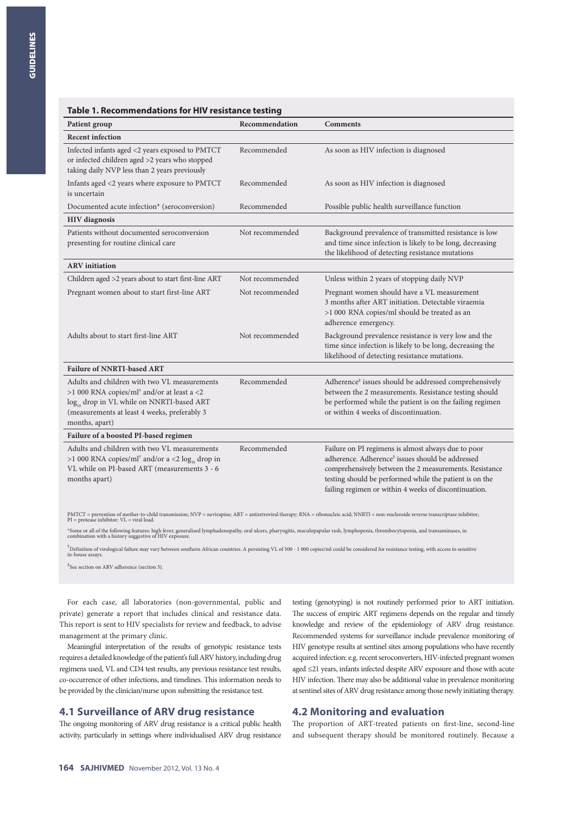| Patient group                                                                                                                                                                                                                        | Recommendation  | <b>Comments</b>                                                                                                                                                                                                                                                                                   |
|--------------------------------------------------------------------------------------------------------------------------------------------------------------------------------------------------------------------------------------|-----------------|---------------------------------------------------------------------------------------------------------------------------------------------------------------------------------------------------------------------------------------------------------------------------------------------------|
| <b>Recent infection</b>                                                                                                                                                                                                              |                 |                                                                                                                                                                                                                                                                                                   |
| Infected infants aged <2 years exposed to PMTCT<br>or infected children aged >2 years who stopped<br>taking daily NVP less than 2 years previously                                                                                   | Recommended     | As soon as HIV infection is diagnosed                                                                                                                                                                                                                                                             |
| Infants aged <2 years where exposure to PMTCT<br>is uncertain                                                                                                                                                                        | Recommended     | As soon as HIV infection is diagnosed                                                                                                                                                                                                                                                             |
| Documented acute infection* (seroconversion)                                                                                                                                                                                         | Recommended     | Possible public health surveillance function                                                                                                                                                                                                                                                      |
| <b>HIV</b> diagnosis                                                                                                                                                                                                                 |                 |                                                                                                                                                                                                                                                                                                   |
| Patients without documented seroconversion<br>presenting for routine clinical care                                                                                                                                                   | Not recommended | Background prevalence of transmitted resistance is low<br>and time since infection is likely to be long, decreasing<br>the likelihood of detecting resistance mutations                                                                                                                           |
| <b>ARV</b> initiation                                                                                                                                                                                                                |                 |                                                                                                                                                                                                                                                                                                   |
| Children aged >2 years about to start first-line ART                                                                                                                                                                                 | Not recommended | Unless within 2 years of stopping daily NVP                                                                                                                                                                                                                                                       |
| Pregnant women about to start first-line ART                                                                                                                                                                                         | Not recommended | Pregnant women should have a VL measurement<br>3 months after ART initiation. Detectable viraemia<br>>1 000 RNA copies/ml should be treated as an<br>adherence emergency.                                                                                                                         |
| Adults about to start first-line ART                                                                                                                                                                                                 | Not recommended | Background prevalence resistance is very low and the<br>time since infection is likely to be long, decreasing the<br>likelihood of detecting resistance mutations.                                                                                                                                |
| <b>Failure of NNRTI-based ART</b>                                                                                                                                                                                                    |                 |                                                                                                                                                                                                                                                                                                   |
| Adults and children with two VL measurements<br>>1 000 RNA copies/ml <sup>+</sup> and/or at least a <2<br>log <sub>10</sub> drop in VL while on NNRTI-based ART<br>(measurements at least 4 weeks, preferably 3<br>months, apart)    | Recommended     | Adherence <sup>#</sup> issues should be addressed comprehensively<br>between the 2 measurements. Resistance testing should<br>be performed while the patient is on the failing regimen<br>or within 4 weeks of discontinuation.                                                                   |
| Failure of a boosted PI-based regimen                                                                                                                                                                                                |                 |                                                                                                                                                                                                                                                                                                   |
| Adults and children with two VL measurements<br>>1 000 RNA copies/ml <sup>†</sup> and/or a <2 $\log_{10}$ drop in<br>VL while on PI-based ART (measurements 3 - 6<br>months apart)                                                   | Recommended     | Failure on PI regimens is almost always due to poor<br>adherence. Adherence <sup>#</sup> issues should be addressed<br>comprehensively between the 2 measurements. Resistance<br>testing should be performed while the patient is on the<br>failing regimen or within 4 weeks of discontinuation. |
| PMTCT = prevention of mother-to-child transmission; NVP = nevirapine; ART = antiretroviral therapy; RNA = ribonucleic acid; NNRTI = non-nucleoside reverse transcriptase inhibitor;<br>$PI =$ protease inhibitor; $VL =$ viral load. |                 |                                                                                                                                                                                                                                                                                                   |

\*Some or all of the following features: high fever, generalised lymphadenopathy, oral ulcers, pharyngitis, maculopapular rash, lymphopenia, thrombocytopenia, and transaminases, in<br>combination with a history suggestive of H

† Definition of virological failure may vary between southern African countries. A persisting VL of 500 - 1 000 copies/ml could be considered for resistance testing, with access to sensitive in-house assays.

‡ See section on ARV adherence (section 5).

For each case, all laboratories (non-governmental, public and private) generate a report that includes clinical and resistance data. This report is sent to HIV specialists for review and feedback, to advise management at the primary clinic.

**Table 1. Recommendations for HIV resistance testing**

Meaningful interpretation of the results of genotypic resistance tests requires a detailed knowledge of the patient's full ARV history, including drug regimens used, VL and CD4 test results, any previous resistance test results, co-occurrence of other infections, and timelines. This information needs to be provided by the clinician/nurse upon submitting the resistance test.

# **4.1 Surveillance of ARV drug resistance**

The ongoing monitoring of ARV drug resistance is a critical public health activity, particularly in settings where individualised ARV drug resistance testing (genotyping) is not routinely performed prior to ART initiation. The success of empiric ART regimens depends on the regular and timely knowledge and review of the epidemiology of ARV drug resistance. Recommended systems for surveillance include prevalence monitoring of HIV genotype results at sentinel sites among populations who have recently acquired infection: e.g. recent seroconverters, HIV-infected pregnant women aged ≤21 years, infants infected despite ARV exposure and those with acute HIV infection. There may also be additional value in prevalence monitoring at sentinel sites of ARV drug resistance among those newly initiating therapy.

# **4.2 Monitoring and evaluation**

The proportion of ART-treated patients on first-line, second-line and subsequent therapy should be monitored routinely. Because a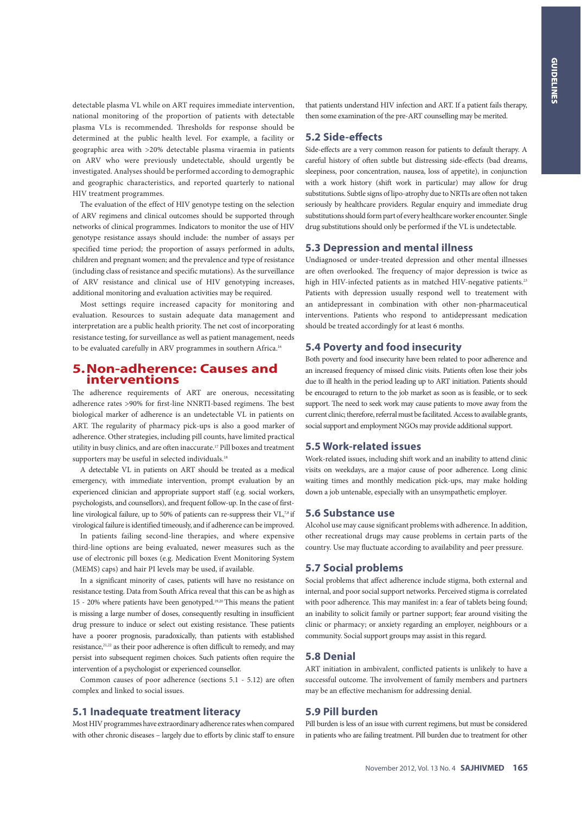detectable plasma VL while on ART requires immediate intervention, national monitoring of the proportion of patients with detectable plasma VLs is recommended. Thresholds for response should be determined at the public health level. For example, a facility or geographic area with >20% detectable plasma viraemia in patients on ARV who were previously undetectable, should urgently be investigated. Analyses should be performed according to demographic and geographic characteristics, and reported quarterly to national HIV treatment programmes.

The evaluation of the effect of HIV genotype testing on the selection of ARV regimens and clinical outcomes should be supported through networks of clinical programmes. Indicators to monitor the use of HIV genotype resistance assays should include: the number of assays per specified time period; the proportion of assays performed in adults, children and pregnant women; and the prevalence and type of resistance (including class of resistance and specific mutations). As the surveillance of ARV resistance and clinical use of HIV genotyping increases, additional monitoring and evaluation activities may be required.

Most settings require increased capacity for monitoring and evaluation. Resources to sustain adequate data management and interpretation are a public health priority. The net cost of incorporating resistance testing, for surveillance as well as patient management, needs to be evaluated carefully in ARV programmes in southern Africa.<sup>16</sup>

# **5.Non-adherence: Causes and interventions**

The adherence requirements of ART are onerous, necessitating adherence rates >90% for first-line NNRTI-based regimens. The best biological marker of adherence is an undetectable VL in patients on ART. The regularity of pharmacy pick-ups is also a good marker of adherence. Other strategies, including pill counts, have limited practical utility in busy clinics, and are often inaccurate.17 Pill boxes and treatment supporters may be useful in selected individuals.<sup>18</sup>

A detectable VL in patients on ART should be treated as a medical emergency, with immediate intervention, prompt evaluation by an experienced clinician and appropriate support staff (e.g. social workers, psychologists, and counsellors), and frequent follow-up. In the case of firstline virological failure, up to 50% of patients can re-suppress their VL,7,8 if virological failure is identified timeously, and if adherence can be improved.

In patients failing second-line therapies, and where expensive third-line options are being evaluated, newer measures such as the use of electronic pill boxes (e.g. Medication Event Monitoring System (MEMS) caps) and hair PI levels may be used, if available.

In a significant minority of cases, patients will have no resistance on resistance testing. Data from South Africa reveal that this can be as high as 15 - 20% where patients have been genotyped.19,20 This means the patient is missing a large number of doses, consequently resulting in insufficient drug pressure to induce or select out existing resistance. These patients have a poorer prognosis, paradoxically, than patients with established resistance, $21,22$  as their poor adherence is often difficult to remedy, and may persist into subsequent regimen choices. Such patients often require the intervention of a psychologist or experienced counsellor.

Common causes of poor adherence (sections 5.1 - 5.12) are often complex and linked to social issues.

#### **5.1 Inadequate treatment literacy**

Most HIV programmes have extraordinary adherence rates when compared with other chronic diseases – largely due to efforts by clinic staff to ensure

that patients understand HIV infection and ART. If a patient fails therapy, then some examination of the pre-ART counselling may be merited.

#### **5.2 Side-effects**

Side-effects are a very common reason for patients to default therapy. A careful history of often subtle but distressing side-effects (bad dreams, sleepiness, poor concentration, nausea, loss of appetite), in conjunction with a work history (shift work in particular) may allow for drug substitutions. Subtle signs of lipo-atrophy due to NRTIs are often not taken seriously by healthcare providers. Regular enquiry and immediate drug substitutions should form part of every healthcare worker encounter. Single drug substitutions should only be performed if the VL is undetectable.

## **5.3 Depression and mental illness**

Undiagnosed or under-treated depression and other mental illnesses are often overlooked. The frequency of major depression is twice as high in HIV-infected patients as in matched HIV-negative patients.<sup>23</sup> Patients with depression usually respond well to treatement with an antidepressant in combination with other non-pharmaceutical interventions. Patients who respond to antidepressant medication should be treated accordingly for at least 6 months.

#### **5.4 Poverty and food insecurity**

Both poverty and food insecurity have been related to poor adherence and an increased frequency of missed clinic visits. Patients often lose their jobs due to ill health in the period leading up to ART initiation. Patients should be encouraged to return to the job market as soon as is feasible, or to seek support. The need to seek work may cause patients to move away from the current clinic; therefore, referral must be facilitated. Access to available grants, social support and employment NGOs may provide additional support.

#### **5.5 Work-related issues**

Work-related issues, including shift work and an inability to attend clinic visits on weekdays, are a major cause of poor adherence. Long clinic waiting times and monthly medication pick-ups, may make holding down a job untenable, especially with an unsympathetic employer.

#### **5.6 Substance use**

Alcohol use may cause significant problems with adherence. In addition, other recreational drugs may cause problems in certain parts of the country. Use may fluctuate according to availability and peer pressure.

#### **5.7 Social problems**

Social problems that affect adherence include stigma, both external and internal, and poor social support networks. Perceived stigma is correlated with poor adherence. This may manifest in: a fear of tablets being found; an inability to solicit family or partner support; fear around visiting the clinic or pharmacy; or anxiety regarding an employer, neighbours or a community. Social support groups may assist in this regard.

#### **5.8 Denial**

ART initiation in ambivalent, conflicted patients is unlikely to have a successful outcome. The involvement of family members and partners may be an effective mechanism for addressing denial.

# **5.9 Pill burden**

Pill burden is less of an issue with current regimens, but must be considered in patients who are failing treatment. Pill burden due to treatment for other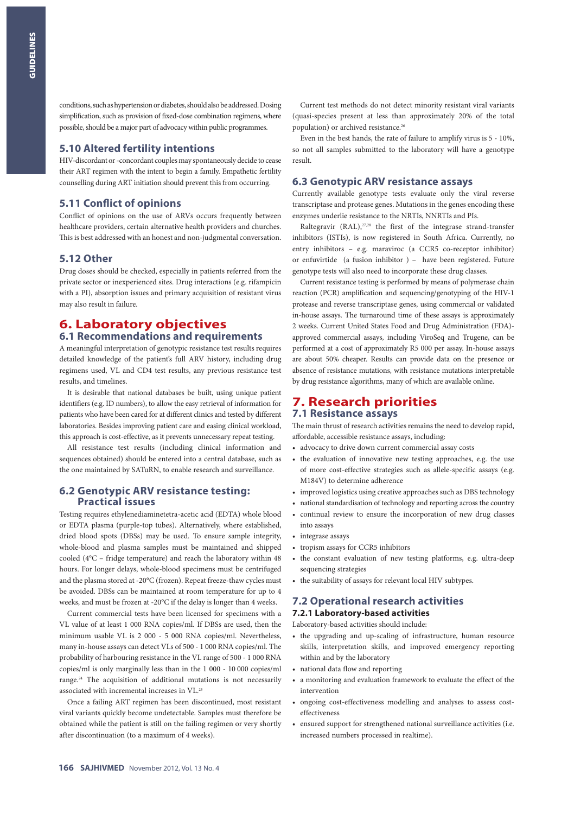conditions, such as hypertension or diabetes, should also be addressed. Dosing simplification, such as provision of fixed-dose combination regimens, where possible, should be a major part of advocacy within public programmes.

#### **5.10 Altered fertility intentions**

HIV-discordant or -concordant couples may spontaneously decide to cease their ART regimen with the intent to begin a family. Empathetic fertility counselling during ART initiation should prevent this from occurring.

#### **5.11 Conflict of opinions**

Conflict of opinions on the use of ARVs occurs frequently between healthcare providers, certain alternative health providers and churches. This is best addressed with an honest and non-judgmental conversation.

#### **5.12 Other**

Drug doses should be checked, especially in patients referred from the private sector or inexperienced sites. Drug interactions (e.g. rifampicin with a PI), absorption issues and primary acquisition of resistant virus may also result in failure.

## **6. Laboratory objectives 6.1 Recommendations and requirements**

A meaningful interpretation of genotypic resistance test results requires detailed knowledge of the patient's full ARV history, including drug regimens used, VL and CD4 test results, any previous resistance test results, and timelines.

It is desirable that national databases be built, using unique patient identifiers (e.g. ID numbers), to allow the easy retrieval of information for patients who have been cared for at different clinics and tested by different laboratories. Besides improving patient care and easing clinical workload, this approach is cost-effective, as it prevents unnecessary repeat testing.

All resistance test results (including clinical information and sequences obtained) should be entered into a central database, such as the one maintained by SATuRN, to enable research and surveillance.

### **6.2 Genotypic ARV resistance testing: Practical issues**

Testing requires ethylenediaminetetra-acetic acid (EDTA) whole blood or EDTA plasma (purple-top tubes). Alternatively, where established, dried blood spots (DBSs) may be used. To ensure sample integrity, whole-blood and plasma samples must be maintained and shipped cooled (4°C – fridge temperature) and reach the laboratory within 48 hours. For longer delays, whole-blood specimens must be centrifuged and the plasma stored at -20°C (frozen). Repeat freeze-thaw cycles must be avoided. DBSs can be maintained at room temperature for up to 4 weeks, and must be frozen at -20°C if the delay is longer than 4 weeks.

Current commercial tests have been licensed for specimens with a VL value of at least 1 000 RNA copies/ml. If DBSs are used, then the minimum usable VL is 2 000 - 5 000 RNA copies/ml. Nevertheless, many in-house assays can detect VLs of 500 - 1 000 RNA copies/ml. The probability of harbouring resistance in the VL range of 500 - 1 000 RNA copies/ml is only marginally less than in the 1 000 - 10 000 copies/ml range.<sup>24</sup> The acquisition of additional mutations is not necessarily associated with incremental increases in VL.25

Once a failing ART regimen has been discontinued, most resistant viral variants quickly become undetectable. Samples must therefore be obtained while the patient is still on the failing regimen or very shortly after discontinuation (to a maximum of 4 weeks).

Current test methods do not detect minority resistant viral variants (quasi-species present at less than approximately 20% of the total population) or archived resistance.<sup>26</sup>

Even in the best hands, the rate of failure to amplify virus is 5 - 10%, so not all samples submitted to the laboratory will have a genotype result.

#### **6.3 Genotypic ARV resistance assays**

Currently available genotype tests evaluate only the viral reverse transcriptase and protease genes. Mutations in the genes encoding these enzymes underlie resistance to the NRTIs, NNRTIs and PIs.

Raltegravir (RAL), $^{27,28}$  the first of the integrase strand-transfer inhibitors (ISTIs), is now registered in South Africa. Currently, no entry inhibitors – e.g. maraviroc (a CCR5 co-receptor inhibitor) or enfuvirtide (a fusion inhibitor ) – have been registered. Future genotype tests will also need to incorporate these drug classes.

Current resistance testing is performed by means of polymerase chain reaction (PCR) amplification and sequencing/genotyping of the HIV-1 protease and reverse transcriptase genes, using commercial or validated in-house assays. The turnaround time of these assays is approximately 2 weeks. Current United States Food and Drug Administration (FDA) approved commercial assays, including ViroSeq and Trugene, can be performed at a cost of approximately R5 000 per assay. In-house assays are about 50% cheaper. Results can provide data on the presence or absence of resistance mutations, with resistance mutations interpretable by drug resistance algorithms, many of which are available online.

# **7. Research priorities 7.1 Resistance assays**

The main thrust of research activities remains the need to develop rapid, affordable, accessible resistance assays, including:

- advocacy to drive down current commercial assay costs
- the evaluation of innovative new testing approaches, e.g. the use of more cost-effective strategies such as allele-specific assays (e.g. M184V) to determine adherence
- improved logistics using creative approaches such as DBS technology
- national standardisation of technology and reporting across the country
- continual review to ensure the incorporation of new drug classes into assays
- integrase assays
- tropism assays for CCR5 inhibitors
- the constant evaluation of new testing platforms, e.g. ultra-deep sequencing strategies
- the suitability of assays for relevant local HIV subtypes.

# **7.2 Operational research activities**

**7.2.1 Laboratory-based activities**

Laboratory-based activities should include:

- the upgrading and up-scaling of infrastructure, human resource skills, interpretation skills, and improved emergency reporting within and by the laboratory
- national data flow and reporting
- a monitoring and evaluation framework to evaluate the effect of the intervention
- ongoing cost-effectiveness modelling and analyses to assess costeffectiveness
- ensured support for strengthened national surveillance activities (i.e. increased numbers processed in realtime).